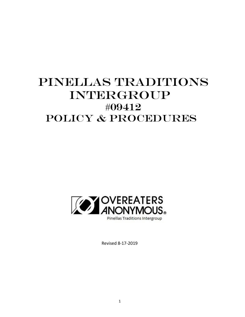# PINELLAS TRADITIONS INTERGROUP #09412 POLICY & PROCEDURES



Revised 8-17-2019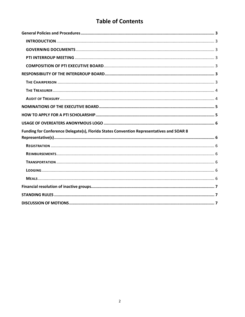# **Table of Contents**

| Funding for Conference Delegate(s), Florida States Convention Representatives and SOAR 8 |  |
|------------------------------------------------------------------------------------------|--|
|                                                                                          |  |
|                                                                                          |  |
|                                                                                          |  |
|                                                                                          |  |
|                                                                                          |  |
|                                                                                          |  |
|                                                                                          |  |
|                                                                                          |  |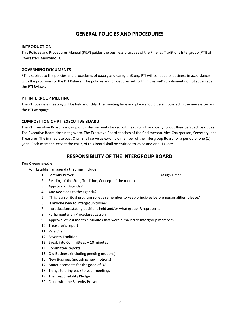### **GENERAL POLICIES AND PROCEDURES**

#### <span id="page-2-1"></span><span id="page-2-0"></span>**INTRODUCTION**

This Policies and Procedures Manual (P&P) guides the business practices of the Pinellas Traditions Intergroup (PTI) of Overeaters Anonymous.

#### <span id="page-2-2"></span>**GOVERNING DOCUMENTS**

PTI is subject to the policies and procedures of oa.org and oaregion8.org. PTI will conduct its business in accordance with the provisions of the PTI Bylaws. The policies and procedures set forth in this P&P supplement do not supersede the PTI Bylaws.

#### <span id="page-2-3"></span>**PTI INTERROUP MEETING**

The PTI business meeting will be held monthly. The meeting time and place should be announced in the newsletter and the PTI webpage.

### <span id="page-2-4"></span>**COMPOSITION OF PTI EXECUTIVE BOARD**

The PTI Executive Board is a group of trusted servants tasked with leading PTI and carrying out their perspective duties. The Executive Board does not govern. The Executive Board consists of the Chairperson, Vice Chairperson, Secretary, and Treasurer. The immediate past Chair shall serve as ex-officio member of the Intergroup Board for a period of one (1) year. Each member, except the chair, of this Board shall be entitled to voice and one (1) vote.

### **RESPONSIBILITY OF THE INTERGROUP BOARD**

#### <span id="page-2-6"></span><span id="page-2-5"></span>**THE CHAIRPERSON**

- A. Establish an agenda that may include:
	- 1. Serenity Prayer Assign Timer
	- 2. Reading of the Step, Tradition, Concept of the month
	- 3. Approval of Agenda?
	- 4. Any Additions to the agenda?
	- 5. "This is a spiritual program so let's remember to keep principles before personalities, please."
	- 6. Is anyone new to Intergroup today?
	- 7. Introductions stating positions held and/or what group IR represents
	- 8. Parliamentarian Procedures Lesson
	- 9. Approval of last month's Minutes that were e-mailed to Intergroup members
	- 10. Treasurer's report
	- 11. Vice Chair
	- 12. Seventh Tradition
	- 13. Break into Committees 10 minutes
	- 14. Committee Reports
	- 15. Old Business (including pending motions)
	- 16. New Business (including new motions)
	- 17. Announcements for the good of OA
	- 18. Things to bring back to your meetings
	- 19. The Responsibility Pledge
	- **20.** Close with the Serenity Prayer

3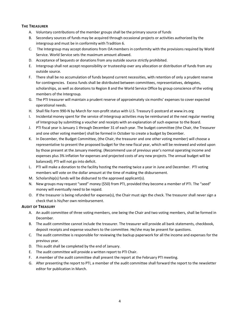### <span id="page-3-0"></span>**THE TREASURER**

- A. Voluntary contributions of the member groups shall be the primary source of funds
- B. Secondary sources of funds may be acquired through occasional projects or activities authorized by the intergroup and must be in conformity with Tradition 6.
- C. The Intergroup may accept donations from OA members in conformity with the provisions required by World Service. World Service sets the maximum amount allowed.
- D. Acceptance of bequests or donations from any outside source strictly prohibited.
- E. Intergroup shall not accept responsibility or trusteeship over any allocation or distribution of funds from any outside source.
- F. There shall be no accumulation of funds beyond current necessities, with retention of only a prudent reserve for contingencies. Excess funds shall be distributed between committees, representatives, delegates, scholarships, as well as donations to Region 8 and the World Service Office by group conscience of the voting members of the Intergroup.
- G. The PTI treasurer will maintain a prudent reserve of approximately six months' expenses to cover expected operational needs.
- H. Shall file Form 990-N by March for non-profit status with U.S. Treasury E-postcard at www.irs.org
- I. Incidental money spent for the service of Intergroup activities may be reimbursed at the next regular meeting of Intergroup by submitting a voucher and receipts with an explanation of such expense to the Board.
- J. PTI fiscal year is January 1 through December 31 of each year. The budget committee (the Chair, the Treasurer and one other voting member) shall be formed in October to create a budget by December.
- K. In December, the Budget Committee, (the Chair, the treasurer and one other voting member) will choose a representative to present the proposed budget for the new fiscal year, which will be reviewed and voted upon by those present at the January meeting. (Recommend use of previous year's normal operating income and expenses plus 3% inflation for expenses and projected costs of any new projects. The annual budget will be balanced); PTI will not go into deficit.
- L. PTI will make a donation to the facility hosting the meeting twice a year in June and December. PTI voting members will vote on the dollar amount at the time of making the disbursement.
- M. Scholarship(s) funds will be disbursed to the approved applicant(s).
- N. New groups may request "seed" money (\$50) from PTI, provided they become a member of PTI. The "seed" money will eventually need to be repaid.
- O. If the treasurer is being refunded for expense(s), the Chair must sign the check. The treasurer shall never sign a check that is his/her own reimbursement.

### <span id="page-3-1"></span>**AUDIT OF TREASURY**

- A. An audit committee of three voting members, one being the Chair and two voting members, shall be formed in December.
- B. The audit committee cannot include the treasurer. The treasurer will provide all bank statements, checkbook, deposit receipts and expense vouchers to the committee. He/she may be present for questions.
- C. The audit committee is responsible for reviewing the backup paperwork for all the income and expenses for the previous year.
- D. This audit shall be completed by the end of January.
- E. The audit committee will provide a written report to PTI Chair.
- F. A member of the audit committee shall present the report at the February PTI meeting.
- G. After presenting the report to PTI, a member of the audit committee shall forward the report to the newsletter editor for publication in March.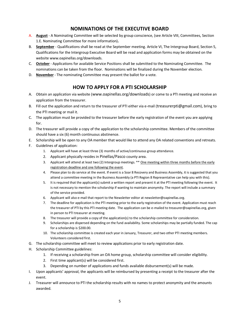### **NOMINATIONS OF THE EXECUTIVE BOARD**

- <span id="page-4-0"></span>A. **August** - A Nominating Committee will be selected by group conscience, (see Article VIII, Committees, Section 1.E. Nominating Committee for more information)**.**
- B. **September** Qualifications shall be read at the September meeting. Article VI, The Intergroup Board, Section 5, Qualifications for the Intergroup Executive Board will be read and application forms may be obtained on the website www.oapinellas.org/downloads.
- C. **October** Applications for available Service Positions shall be submitted to the Nominating Committee. The nominations can be taken from the floor. Nominations will be finalized during the November election.
- D. **November** The nominating Committee may present the ballot for a vote.

### **HOW TO APPLY FOR A PTI SCHOLARSHIP**

- <span id="page-4-1"></span>A. Obtain an application via website ([www.oapinellas.org/](http://www.oapinellas.org/)downloads) or come to a PTI meeting and receive an application from the treasurer.
- B. Fill out the application and return to the treasurer of PTI either via e-mail ([treasurerpti@gm](mailto:treasurer@oapinellas.org)ail.com), bring to the PTI meeting or mail it.
- C. The application must be provided to the treasurer before the early registration of the event you are applying for.
- D. The treasurer will provide a copy of the application to the scholarship committee. Members of the committee should have a six (6) month continuous abstinence.
- E. Scholarship will be open to any OA member that would like to attend any OA related conventions and retreats.
- F. Guidelines of application:
	- 1. Applicant will have at least three (3) months of active/continuous group attendance.
	- 2. Applicant physically resides in Pinellas/Pasco county area.
	- 3. Applicant will attend at least two (2) Intergroup meetings. \*\* One meeting within three months before the early registration deadline and one following the event.
	- 4. Please plan to do service at the event. If event is a Soar 8 Recovery and Business Assembly, it is suggested that you attend a committee meeting in the Business Assembly (a PTI Region 8 Representative can help you with this).
	- 5. It is required that the applicant(s) submit a written report and present it at the PTI meeting following the event. It is not necessary to mention the scholarship if wanting to maintain anonymity. The report will include a summary of the service provided.
	- 6. Applicant will also e-mail that report to the Newsletter editor a[t newsletter@oapinellas.org.](mailto:newsletter@oapinellas.org)
	- 7. The deadline for application is the PTI meeting prior to the early registration of the event. Application must reach the treasurer of PTI by this PTI meeting date. The application can be e-mailed to treasurer@oapinellas.org, given in person to PTI treasurer at meeting.
	- 8. The treasurer will provide a copy of the application(s) to the scholarship committee for consideration.
	- 9. Scholarships are dispersed depending on the fund availability. Some scholarships may be partially funded. The cap for a scholarship is \$200.00.
	- 10. The scholarship committee is created each year in January, Treasurer, and two other PTI meeting members. Volunteers considered first.
- G. The scholarship committee will meet to review applications prior to early registration date.
- H. Scholarship Committee guidelines:
	- 1. If receiving a scholarship from an OA home group, scholarship committee will consider eligibility.
	- 2. First time applicant(s) will be considered first.
	- 3. Depending on number of applications and funds available disbursement(s) will be made.
- I. Upon applicants' approval, the applicants will be reimbursed by presenting a receipt to the treasurer after the event.
- J. Treasurer will announce to PTI the scholarship results with no names to protect anonymity and the amounts awarded.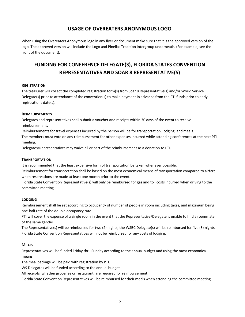### **USAGE OF OVEREATERS ANONYMOUS LOGO**

<span id="page-5-0"></span>When using the Overeaters Anonymous logo in any flyer or document make sure that it is the approved version of the logo. The approved version will include the Logo and Pinellas Tradition Intergroup underneath. (For example, see the front of the document).

## <span id="page-5-1"></span>**FUNDING FOR CONFERENCE DELEGATE(S), FLORIDA STATES CONVENTION REPRESENTATIVES AND SOAR 8 REPRESENTATIVE(S)**

#### <span id="page-5-2"></span>**REGISTRATION**

The treasurer will collect the completed registration form(s) from Soar 8 Representative(s) and/or World Service Delegate(s) prior to attendance of the convention(s) to make payment in advance from the PTI funds prior to early registrations date(s).

#### <span id="page-5-3"></span>**REIMBURSEMENTS**

Delegates and representatives shall submit a voucher and receipts within 30 days of the event to receive reimbursement.

Reimbursements for travel expenses incurred by the person will be for transportation, lodging, and meals. The members must vote on any reimbursement for other expenses incurred while attending conferences at the next PTI meeting.

Delegates/Representatives may waive all or part of the reimbursement as a donation to PTI.

### <span id="page-5-4"></span>**TRANSPORTATION**

It is recommended that the least expensive form of transportation be taken whenever possible.

Reimbursement for transportation shall be based on the most economical means of transportation compared to airfare when reservations are made at least one month prior to the event.

Florida State Convention Representative(s) will only be reimbursed for gas and toll costs incurred when driving to the committee meeting.

### <span id="page-5-5"></span>**LODGING**

Reimbursement shall be set according to occupancy of number of people in room including taxes, and maximum being one-half rate of the double occupancy rate.

PTI will cover the expense of a single room in the event that the Representative/Delegate is unable to find a roommate of the same gender.

The Representative(s) will be reimbursed for two (2) nights; the WSBC Delegate(s) will be reimbursed for five (5) nights. Florida State Convention Representatives will not be reimbursed for any costs of lodging.

#### <span id="page-5-6"></span>**MEALS**

Representatives will be funded Friday thru Sunday according to the annual budget and using the most economical means.

The meal package will be paid with registration by PTI.

WS Delegates will be funded according to the annual budget.

All receipts, whether groceries or restaurant, are required for reimbursement.

Florida State Convention Representatives will be reimbursed for their meals when attending the committee meeting.